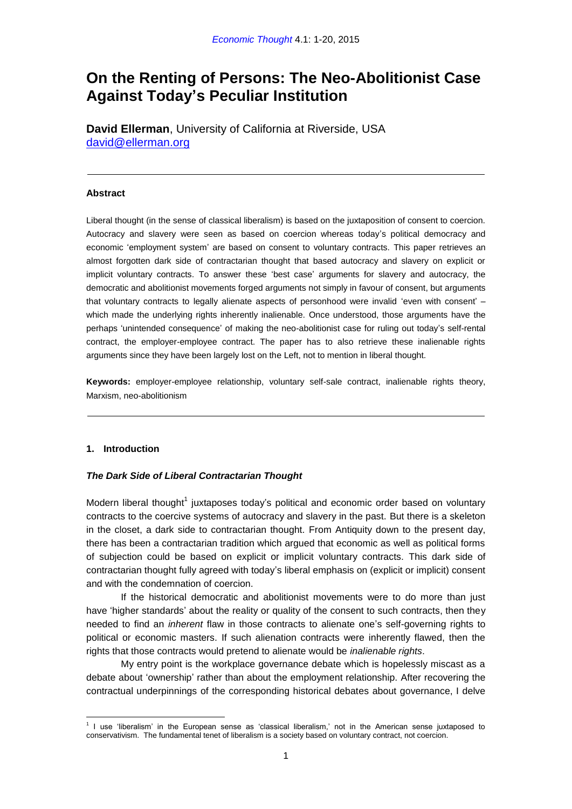# **On the Renting of Persons: The Neo-Abolitionist Case Against Today's Peculiar Institution**

**David Ellerman**, University of California at Riverside, USA [david@ellerman.org](mailto:david@ellerman.org)

#### **Abstract**

Liberal thought (in the sense of classical liberalism) is based on the juxtaposition of consent to coercion. Autocracy and slavery were seen as based on coercion whereas today's political democracy and economic 'employment system' are based on consent to voluntary contracts. This paper retrieves an almost forgotten dark side of contractarian thought that based autocracy and slavery on explicit or implicit voluntary contracts. To answer these 'best case' arguments for slavery and autocracy, the democratic and abolitionist movements forged arguments not simply in favour of consent, but arguments that voluntary contracts to legally alienate aspects of personhood were invalid 'even with consent' – which made the underlying rights inherently inalienable. Once understood, those arguments have the perhaps 'unintended consequence' of making the neo-abolitionist case for ruling out today's self-rental contract, the employer-employee contract. The paper has to also retrieve these inalienable rights arguments since they have been largely lost on the Left, not to mention in liberal thought.

**Keywords:** employer-employee relationship, voluntary self-sale contract, inalienable rights theory, Marxism, neo-abolitionism

#### **1. Introduction**

#### *The Dark Side of Liberal Contractarian Thought*

Modern liberal thought<sup>1</sup> juxtaposes today's political and economic order based on voluntary contracts to the coercive systems of autocracy and slavery in the past. But there is a skeleton in the closet, a dark side to contractarian thought. From Antiquity down to the present day, there has been a contractarian tradition which argued that economic as well as political forms of subjection could be based on explicit or implicit voluntary contracts. This dark side of contractarian thought fully agreed with today's liberal emphasis on (explicit or implicit) consent and with the condemnation of coercion.

If the historical democratic and abolitionist movements were to do more than just have 'higher standards' about the reality or quality of the consent to such contracts, then they needed to find an *inherent* flaw in those contracts to alienate one's self-governing rights to political or economic masters. If such alienation contracts were inherently flawed, then the rights that those contracts would pretend to alienate would be *inalienable rights*.

My entry point is the workplace governance debate which is hopelessly miscast as a debate about 'ownership' rather than about the employment relationship. After recovering the contractual underpinnings of the corresponding historical debates about governance, I delve

 1 I use 'liberalism' in the European sense as 'classical liberalism,' not in the American sense juxtaposed to conservativism. The fundamental tenet of liberalism is a society based on voluntary contract, not coercion.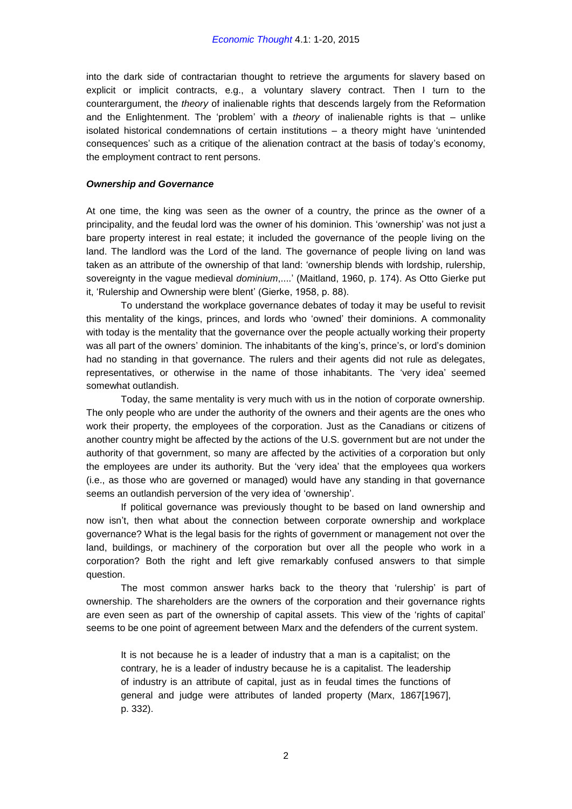into the dark side of contractarian thought to retrieve the arguments for slavery based on explicit or implicit contracts, e.g., a voluntary slavery contract. Then I turn to the counterargument, the *theory* of inalienable rights that descends largely from the Reformation and the Enlightenment. The 'problem' with a *theory* of inalienable rights is that – unlike isolated historical condemnations of certain institutions – a theory might have 'unintended consequences' such as a critique of the alienation contract at the basis of today's economy, the employment contract to rent persons.

#### *Ownership and Governance*

At one time, the king was seen as the owner of a country, the prince as the owner of a principality, and the feudal lord was the owner of his dominion. This 'ownership' was not just a bare property interest in real estate; it included the governance of the people living on the land. The landlord was the Lord of the land. The governance of people living on land was taken as an attribute of the ownership of that land: 'ownership blends with lordship, rulership, sovereignty in the vague medieval *dominium*,....' (Maitland, 1960, p. 174). As Otto Gierke put it, 'Rulership and Ownership were blent' (Gierke, 1958, p. 88).

To understand the workplace governance debates of today it may be useful to revisit this mentality of the kings, princes, and lords who 'owned' their dominions. A commonality with today is the mentality that the governance over the people actually working their property was all part of the owners' dominion. The inhabitants of the king's, prince's, or lord's dominion had no standing in that governance. The rulers and their agents did not rule as delegates, representatives, or otherwise in the name of those inhabitants. The 'very idea' seemed somewhat outlandish.

Today, the same mentality is very much with us in the notion of corporate ownership. The only people who are under the authority of the owners and their agents are the ones who work their property, the employees of the corporation. Just as the Canadians or citizens of another country might be affected by the actions of the U.S. government but are not under the authority of that government, so many are affected by the activities of a corporation but only the employees are under its authority. But the 'very idea' that the employees qua workers (i.e., as those who are governed or managed) would have any standing in that governance seems an outlandish perversion of the very idea of 'ownership'.

If political governance was previously thought to be based on land ownership and now isn't, then what about the connection between corporate ownership and workplace governance? What is the legal basis for the rights of government or management not over the land, buildings, or machinery of the corporation but over all the people who work in a corporation? Both the right and left give remarkably confused answers to that simple question.

The most common answer harks back to the theory that 'rulership' is part of ownership. The shareholders are the owners of the corporation and their governance rights are even seen as part of the ownership of capital assets. This view of the 'rights of capital' seems to be one point of agreement between Marx and the defenders of the current system.

It is not because he is a leader of industry that a man is a capitalist; on the contrary, he is a leader of industry because he is a capitalist. The leadership of industry is an attribute of capital, just as in feudal times the functions of general and judge were attributes of landed property (Marx, 1867[1967], p. 332).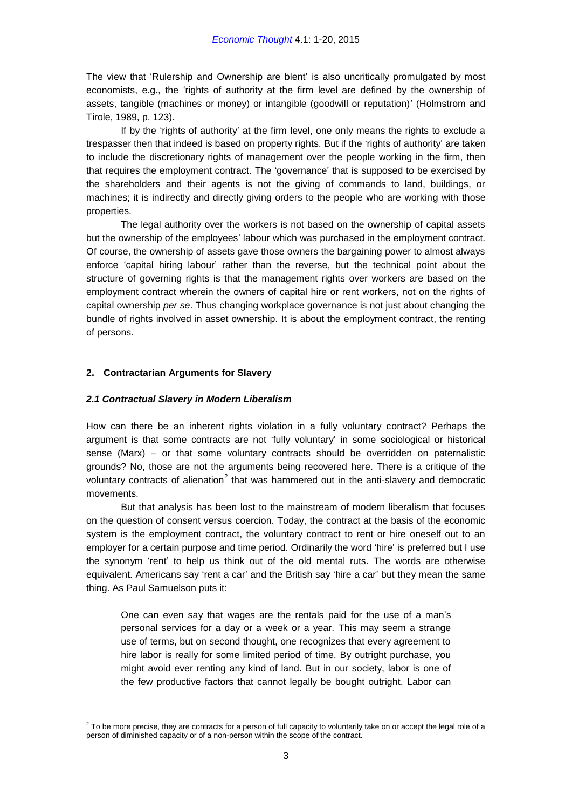The view that 'Rulership and Ownership are blent' is also uncritically promulgated by most economists, e.g., the 'rights of authority at the firm level are defined by the ownership of assets, tangible (machines or money) or intangible (goodwill or reputation)' (Holmstrom and Tirole, 1989, p. 123).

If by the 'rights of authority' at the firm level, one only means the rights to exclude a trespasser then that indeed is based on property rights. But if the 'rights of authority' are taken to include the discretionary rights of management over the people working in the firm, then that requires the employment contract. The 'governance' that is supposed to be exercised by the shareholders and their agents is not the giving of commands to land, buildings, or machines; it is indirectly and directly giving orders to the people who are working with those properties.

The legal authority over the workers is not based on the ownership of capital assets but the ownership of the employees' labour which was purchased in the employment contract. Of course, the ownership of assets gave those owners the bargaining power to almost always enforce 'capital hiring labour' rather than the reverse, but the technical point about the structure of governing rights is that the management rights over workers are based on the employment contract wherein the owners of capital hire or rent workers, not on the rights of capital ownership *per se*. Thus changing workplace governance is not just about changing the bundle of rights involved in asset ownership. It is about the employment contract, the renting of persons.

# **2. Contractarian Arguments for Slavery**

# *2.1 Contractual Slavery in Modern Liberalism*

How can there be an inherent rights violation in a fully voluntary contract? Perhaps the argument is that some contracts are not 'fully voluntary' in some sociological or historical sense (Marx) – or that some voluntary contracts should be overridden on paternalistic grounds? No, those are not the arguments being recovered here. There is a critique of the voluntary contracts of alienation<sup>2</sup> that was hammered out in the anti-slavery and democratic movements.

But that analysis has been lost to the mainstream of modern liberalism that focuses on the question of consent versus coercion. Today, the contract at the basis of the economic system is the employment contract, the voluntary contract to rent or hire oneself out to an employer for a certain purpose and time period. Ordinarily the word 'hire' is preferred but I use the synonym 'rent' to help us think out of the old mental ruts. The words are otherwise equivalent. Americans say 'rent a car' and the British say 'hire a car' but they mean the same thing. As Paul Samuelson puts it:

One can even say that wages are the rentals paid for the use of a man's personal services for a day or a week or a year. This may seem a strange use of terms, but on second thought, one recognizes that every agreement to hire labor is really for some limited period of time. By outright purchase, you might avoid ever renting any kind of land. But in our society, labor is one of the few productive factors that cannot legally be bought outright. Labor can

 $\frac{2}{3}$  To be more precise, they are contracts for a person of full capacity to voluntarily take on or accept the legal role of a person of diminished capacity or of a non-person within the scope of the contract.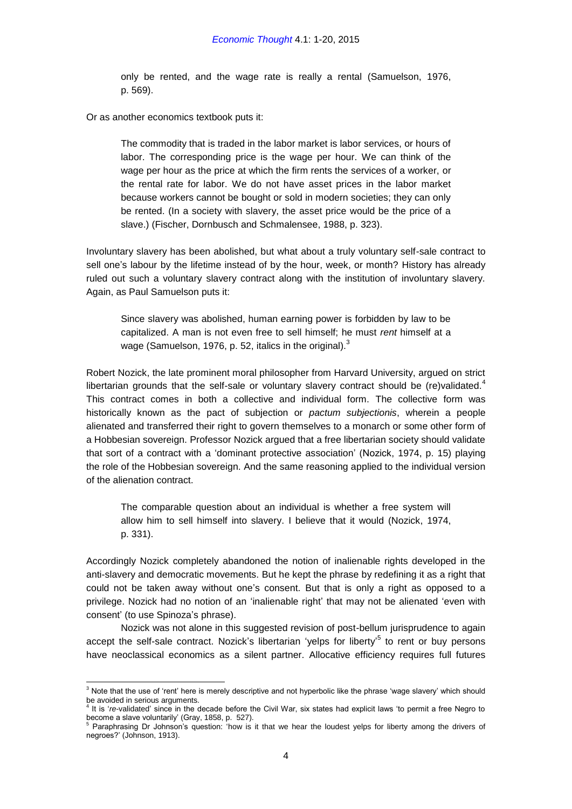only be rented, and the wage rate is really a rental (Samuelson, 1976, p. 569).

Or as another economics textbook puts it:

l

The commodity that is traded in the labor market is labor services, or hours of labor. The corresponding price is the wage per hour. We can think of the wage per hour as the price at which the firm rents the services of a worker, or the rental rate for labor. We do not have asset prices in the labor market because workers cannot be bought or sold in modern societies; they can only be rented. (In a society with slavery, the asset price would be the price of a slave.) (Fischer, Dornbusch and Schmalensee, 1988, p. 323).

Involuntary slavery has been abolished, but what about a truly voluntary self-sale contract to sell one's labour by the lifetime instead of by the hour, week, or month? History has already ruled out such a voluntary slavery contract along with the institution of involuntary slavery. Again, as Paul Samuelson puts it:

Since slavery was abolished, human earning power is forbidden by law to be capitalized. A man is not even free to sell himself; he must *rent* himself at a wage (Samuelson, 1976, p. 52, italics in the original). $3$ 

Robert Nozick, the late prominent moral philosopher from Harvard University, argued on strict libertarian grounds that the self-sale or voluntary slavery contract should be (re)validated.<sup>4</sup> This contract comes in both a collective and individual form. The collective form was historically known as the pact of subjection or *pactum subjectionis*, wherein a people alienated and transferred their right to govern themselves to a monarch or some other form of a Hobbesian sovereign. Professor Nozick argued that a free libertarian society should validate that sort of a contract with a 'dominant protective association' (Nozick, 1974, p. 15) playing the role of the Hobbesian sovereign. And the same reasoning applied to the individual version of the alienation contract.

The comparable question about an individual is whether a free system will allow him to sell himself into slavery. I believe that it would (Nozick, 1974, p. 331).

Accordingly Nozick completely abandoned the notion of inalienable rights developed in the anti-slavery and democratic movements. But he kept the phrase by redefining it as a right that could not be taken away without one's consent. But that is only a right as opposed to a privilege. Nozick had no notion of an 'inalienable right' that may not be alienated 'even with consent' (to use Spinoza's phrase).

Nozick was not alone in this suggested revision of post-bellum jurisprudence to again accept the self-sale contract. Nozick's libertarian 'yelps for liberty'<sup>5</sup> to rent or buy persons have neoclassical economics as a silent partner. Allocative efficiency requires full futures

 $3$  Note that the use of 'rent' here is merely descriptive and not hyperbolic like the phrase 'wage slavery' which should be avoided in serious arguments.

It is '*re*-validated' since in the decade before the Civil War, six states had explicit laws 'to permit a free Negro to become a slave voluntarily' (Gray, 1858, p. 527).<br><sup>5</sup> Paraphrasing Dr Johnson's question: 'how is it that we hear the loudest yelps for liberty among the drivers of

negroes?' (Johnson, 1913).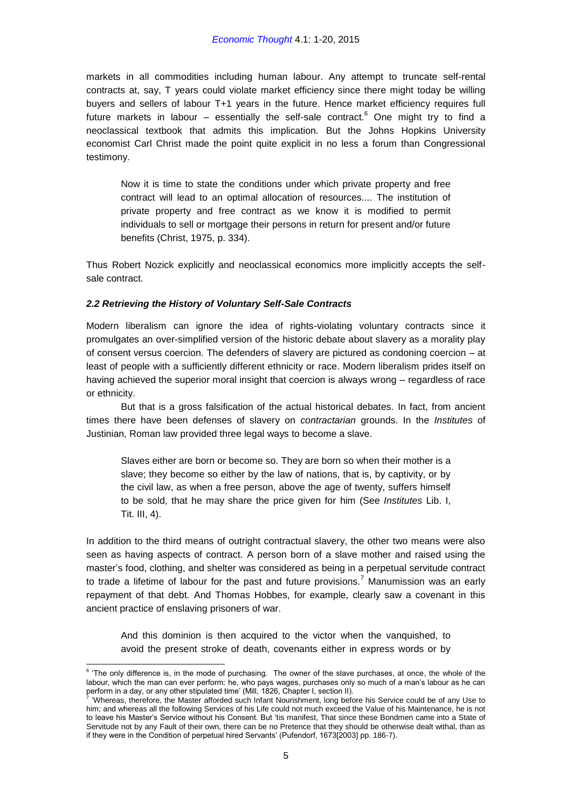markets in all commodities including human labour. Any attempt to truncate self-rental contracts at, say, T years could violate market efficiency since there might today be willing buyers and sellers of labour T+1 years in the future. Hence market efficiency requires full future markets in labour – essentially the self-sale contract.<sup>6</sup> One might try to find a neoclassical textbook that admits this implication. But the Johns Hopkins University economist Carl Christ made the point quite explicit in no less a forum than Congressional testimony.

Now it is time to state the conditions under which private property and free contract will lead to an optimal allocation of resources.... The institution of private property and free contract as we know it is modified to permit individuals to sell or mortgage their persons in return for present and/or future benefits (Christ, 1975, p. 334).

Thus Robert Nozick explicitly and neoclassical economics more implicitly accepts the selfsale contract.

### *2.2 Retrieving the History of Voluntary Self-Sale Contracts*

Modern liberalism can ignore the idea of rights-violating voluntary contracts since it promulgates an over-simplified version of the historic debate about slavery as a morality play of consent versus coercion. The defenders of slavery are pictured as condoning coercion – at least of people with a sufficiently different ethnicity or race. Modern liberalism prides itself on having achieved the superior moral insight that coercion is always wrong – regardless of race or ethnicity.

But that is a gross falsification of the actual historical debates. In fact, from ancient times there have been defenses of slavery on *contractarian* grounds. In the *Institutes* of Justinian, Roman law provided three legal ways to become a slave.

Slaves either are born or become so. They are born so when their mother is a slave; they become so either by the law of nations, that is, by captivity, or by the civil law, as when a free person, above the age of twenty, suffers himself to be sold, that he may share the price given for him (See *Institutes* Lib. I, Tit. III, 4).

In addition to the third means of outright contractual slavery, the other two means were also seen as having aspects of contract. A person born of a slave mother and raised using the master's food, clothing, and shelter was considered as being in a perpetual servitude contract to trade a lifetime of labour for the past and future provisions.<sup>7</sup> Manumission was an early repayment of that debt. And Thomas Hobbes, for example, clearly saw a covenant in this ancient practice of enslaving prisoners of war.

And this dominion is then acquired to the victor when the vanquished, to avoid the present stroke of death, covenants either in express words or by

 6 'The only difference is, in the mode of purchasing. The owner of the slave purchases, at once, the whole of the labour, which the man can ever perform: he, who pays wages, purchases only so much of a man's labour as he can perform in a day, or any other stipulated time' (Mill, 1826, Chapter I, section II). 7

<sup>&#</sup>x27;Whereas, therefore, the Master afforded such Infant Nourishment, long before his Service could be of any Use to him; and whereas all the following Services of his Life could not much exceed the Value of his Maintenance, he is not to leave his Master's Service without his Consent. But 'tis manifest, That since these Bondmen came into a State of Servitude not by any Fault of their own, there can be no Pretence that they should be otherwise dealt withal, than as if they were in the Condition of perpetual hired Servants' (Pufendorf, 1673[2003] pp. 186-7).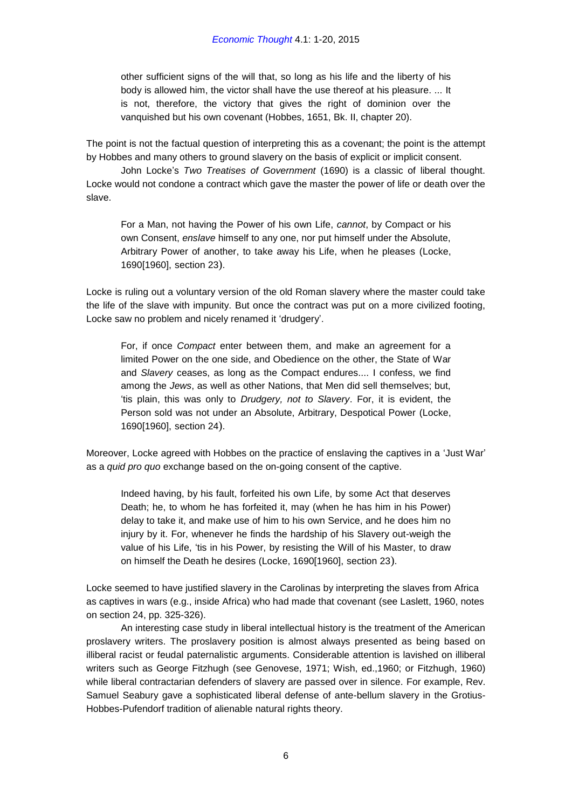other sufficient signs of the will that, so long as his life and the liberty of his body is allowed him, the victor shall have the use thereof at his pleasure. ... It is not, therefore, the victory that gives the right of dominion over the vanquished but his own covenant (Hobbes, 1651, Bk. II, chapter 20).

The point is not the factual question of interpreting this as a covenant; the point is the attempt by Hobbes and many others to ground slavery on the basis of explicit or implicit consent.

John Locke's *Two Treatises of Government* (1690) is a classic of liberal thought. Locke would not condone a contract which gave the master the power of life or death over the slave.

For a Man, not having the Power of his own Life, *cannot*, by Compact or his own Consent, *enslave* himself to any one, nor put himself under the Absolute, Arbitrary Power of another, to take away his Life, when he pleases (Locke, 1690[1960], section 23).

Locke is ruling out a voluntary version of the old Roman slavery where the master could take the life of the slave with impunity. But once the contract was put on a more civilized footing, Locke saw no problem and nicely renamed it 'drudgery'.

For, if once *Compact* enter between them, and make an agreement for a limited Power on the one side, and Obedience on the other, the State of War and *Slavery* ceases, as long as the Compact endures.... I confess, we find among the *Jews*, as well as other Nations, that Men did sell themselves; but, 'tis plain, this was only to *Drudgery, not to Slavery*. For, it is evident, the Person sold was not under an Absolute, Arbitrary, Despotical Power (Locke, 1690[1960], section 24).

Moreover, Locke agreed with Hobbes on the practice of enslaving the captives in a 'Just War' as a *quid pro quo* exchange based on the on-going consent of the captive.

Indeed having, by his fault, forfeited his own Life, by some Act that deserves Death; he, to whom he has forfeited it, may (when he has him in his Power) delay to take it, and make use of him to his own Service, and he does him no injury by it. For, whenever he finds the hardship of his Slavery out-weigh the value of his Life, 'tis in his Power, by resisting the Will of his Master, to draw on himself the Death he desires (Locke, 1690[1960], section 23).

Locke seemed to have justified slavery in the Carolinas by interpreting the slaves from Africa as captives in wars (e.g., inside Africa) who had made that covenant (see Laslett, 1960, notes on section 24, pp. 325-326).

An interesting case study in liberal intellectual history is the treatment of the American proslavery writers. The proslavery position is almost always presented as being based on illiberal racist or feudal paternalistic arguments. Considerable attention is lavished on illiberal writers such as George Fitzhugh (see Genovese, 1971; Wish, ed.,1960; or Fitzhugh, 1960) while liberal contractarian defenders of slavery are passed over in silence. For example, Rev. Samuel Seabury gave a sophisticated liberal defense of ante-bellum slavery in the Grotius-Hobbes-Pufendorf tradition of alienable natural rights theory.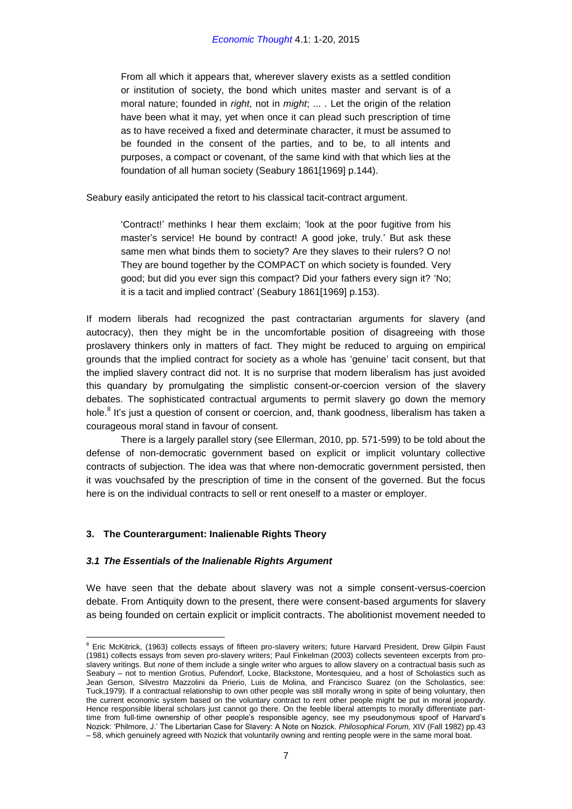From all which it appears that, wherever slavery exists as a settled condition or institution of society, the bond which unites master and servant is of a moral nature; founded in *right*, not in *might*; ... . Let the origin of the relation have been what it may, yet when once it can plead such prescription of time as to have received a fixed and determinate character, it must be assumed to be founded in the consent of the parties, and to be, to all intents and purposes, a compact or covenant, of the same kind with that which lies at the foundation of all human society (Seabury 1861[1969] p.144).

Seabury easily anticipated the retort to his classical tacit-contract argument.

'Contract!' methinks I hear them exclaim; 'look at the poor fugitive from his master's service! He bound by contract! A good joke, truly.' But ask these same men what binds them to society? Are they slaves to their rulers? O no! They are bound together by the COMPACT on which society is founded. Very good; but did you ever sign this compact? Did your fathers every sign it? 'No; it is a tacit and implied contract' (Seabury 1861[1969] p.153).

If modern liberals had recognized the past contractarian arguments for slavery (and autocracy), then they might be in the uncomfortable position of disagreeing with those proslavery thinkers only in matters of fact. They might be reduced to arguing on empirical grounds that the implied contract for society as a whole has 'genuine' tacit consent, but that the implied slavery contract did not. It is no surprise that modern liberalism has just avoided this quandary by promulgating the simplistic consent-or-coercion version of the slavery debates. The sophisticated contractual arguments to permit slavery go down the memory hole.<sup>8</sup> It's just a question of consent or coercion, and, thank goodness, liberalism has taken a courageous moral stand in favour of consent.

There is a largely parallel story (see Ellerman, 2010, pp. 571-599) to be told about the defense of non-democratic government based on explicit or implicit voluntary collective contracts of subjection. The idea was that where non-democratic government persisted, then it was vouchsafed by the prescription of time in the consent of the governed. But the focus here is on the individual contracts to sell or rent oneself to a master or employer.

# **3. The Counterargument: Inalienable Rights Theory**

#### *3.1 The Essentials of the Inalienable Rights Argument*

 $\overline{a}$ 

We have seen that the debate about slavery was not a simple consent-versus-coercion debate. From Antiquity down to the present, there were consent-based arguments for slavery as being founded on certain explicit or implicit contracts. The abolitionist movement needed to

<sup>&</sup>lt;sup>8</sup> Eric McKitrick, (1963) collects essays of fifteen pro-slavery writers; future Harvard President, Drew Gilpin Faust (1981) collects essays from seven pro-slavery writers; Paul Finkelman (2003) collects seventeen excerpts from proslavery writings. But *none* of them include a single writer who argues to allow slavery on a contractual basis such as Seabury – not to mention Grotius, Pufendorf, Locke, Blackstone, Montesquieu, and a host of Scholastics such as Jean Gerson, Silvestro Mazzolini da Prierio, Luis de Molina, and Francisco Suarez (on the Scholastics, see: Tuck,1979). If a contractual relationship to own other people was still morally wrong in spite of being voluntary, then the current economic system based on the voluntary contract to rent other people might be put in moral jeopardy. Hence responsible liberal scholars just cannot go there. On the feeble liberal attempts to morally differentiate parttime from full-time ownership of other people's responsible agency, see my pseudonymous spoof of Harvard's Nozick: 'Philmore, J.' The Libertarian Case for Slavery: A Note on Nozick. *Philosophical Forum,* XIV (Fall 1982) pp.43 – 58, which genuinely agreed with Nozick that voluntarily owning and renting people were in the same moral boat.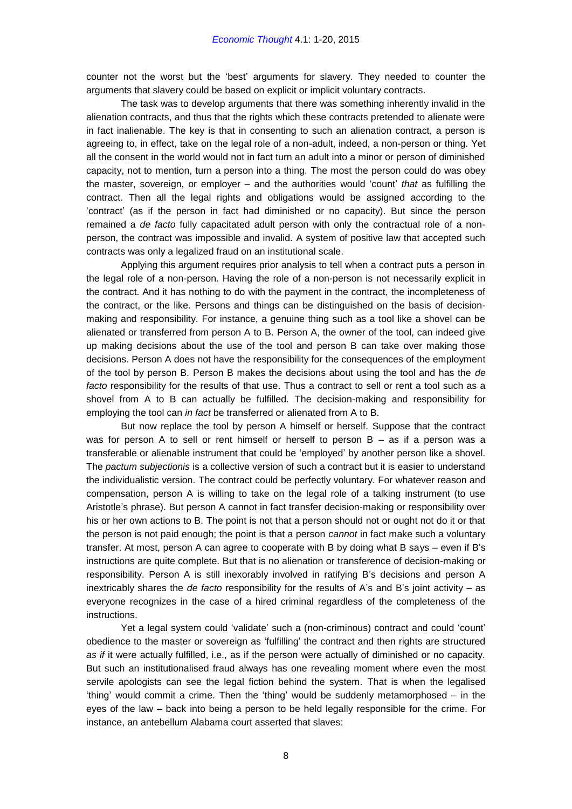counter not the worst but the 'best' arguments for slavery. They needed to counter the arguments that slavery could be based on explicit or implicit voluntary contracts.

The task was to develop arguments that there was something inherently invalid in the alienation contracts, and thus that the rights which these contracts pretended to alienate were in fact inalienable. The key is that in consenting to such an alienation contract, a person is agreeing to, in effect, take on the legal role of a non-adult, indeed, a non-person or thing. Yet all the consent in the world would not in fact turn an adult into a minor or person of diminished capacity, not to mention, turn a person into a thing. The most the person could do was obey the master, sovereign, or employer – and the authorities would 'count' *that* as fulfilling the contract. Then all the legal rights and obligations would be assigned according to the 'contract' (as if the person in fact had diminished or no capacity). But since the person remained a *de facto* fully capacitated adult person with only the contractual role of a nonperson, the contract was impossible and invalid. A system of positive law that accepted such contracts was only a legalized fraud on an institutional scale.

Applying this argument requires prior analysis to tell when a contract puts a person in the legal role of a non-person. Having the role of a non-person is not necessarily explicit in the contract. And it has nothing to do with the payment in the contract, the incompleteness of the contract, or the like. Persons and things can be distinguished on the basis of decisionmaking and responsibility. For instance, a genuine thing such as a tool like a shovel can be alienated or transferred from person A to B. Person A, the owner of the tool, can indeed give up making decisions about the use of the tool and person B can take over making those decisions. Person A does not have the responsibility for the consequences of the employment of the tool by person B. Person B makes the decisions about using the tool and has the *de facto* responsibility for the results of that use. Thus a contract to sell or rent a tool such as a shovel from A to B can actually be fulfilled. The decision-making and responsibility for employing the tool can *in fact* be transferred or alienated from A to B.

But now replace the tool by person A himself or herself. Suppose that the contract was for person A to sell or rent himself or herself to person B – as if a person was a transferable or alienable instrument that could be 'employed' by another person like a shovel. The *pactum subjectionis* is a collective version of such a contract but it is easier to understand the individualistic version. The contract could be perfectly voluntary. For whatever reason and compensation, person A is willing to take on the legal role of a talking instrument (to use Aristotle's phrase). But person A cannot in fact transfer decision-making or responsibility over his or her own actions to B. The point is not that a person should not or ought not do it or that the person is not paid enough; the point is that a person *cannot* in fact make such a voluntary transfer. At most, person A can agree to cooperate with B by doing what B says – even if B's instructions are quite complete. But that is no alienation or transference of decision-making or responsibility. Person A is still inexorably involved in ratifying B's decisions and person A inextricably shares the *de facto* responsibility for the results of A's and B's joint activity – as everyone recognizes in the case of a hired criminal regardless of the completeness of the instructions.

Yet a legal system could 'validate' such a (non-criminous) contract and could 'count' obedience to the master or sovereign as 'fulfilling' the contract and then rights are structured *as if* it were actually fulfilled, i.e., as if the person were actually of diminished or no capacity. But such an institutionalised fraud always has one revealing moment where even the most servile apologists can see the legal fiction behind the system. That is when the legalised 'thing' would commit a crime. Then the 'thing' would be suddenly metamorphosed – in the eyes of the law – back into being a person to be held legally responsible for the crime. For instance, an antebellum Alabama court asserted that slaves: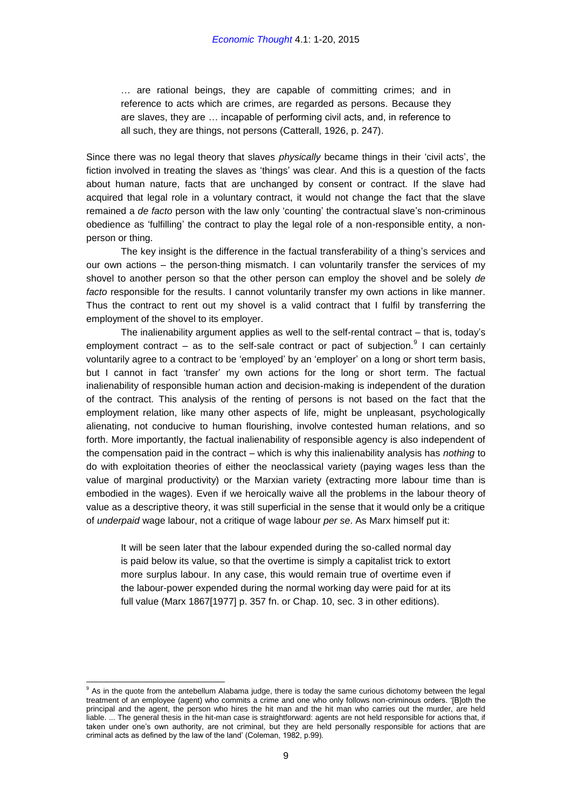… are rational beings, they are capable of committing crimes; and in reference to acts which are crimes, are regarded as persons. Because they are slaves, they are … incapable of performing civil acts, and, in reference to all such, they are things, not persons (Catterall, 1926, p. 247).

Since there was no legal theory that slaves *physically* became things in their 'civil acts', the fiction involved in treating the slaves as 'things' was clear. And this is a question of the facts about human nature, facts that are unchanged by consent or contract. If the slave had acquired that legal role in a voluntary contract, it would not change the fact that the slave remained a *de facto* person with the law only 'counting' the contractual slave's non-criminous obedience as 'fulfilling' the contract to play the legal role of a non-responsible entity, a nonperson or thing.

The key insight is the difference in the factual transferability of a thing's services and our own actions – the person-thing mismatch. I can voluntarily transfer the services of my shovel to another person so that the other person can employ the shovel and be solely *de facto* responsible for the results. I cannot voluntarily transfer my own actions in like manner. Thus the contract to rent out my shovel is a valid contract that I fulfil by transferring the employment of the shovel to its employer.

The inalienability argument applies as well to the self-rental contract – that is, today's employment contract  $-$  as to the self-sale contract or pact of subjection.<sup>9</sup> I can certainly voluntarily agree to a contract to be 'employed' by an 'employer' on a long or short term basis, but I cannot in fact 'transfer' my own actions for the long or short term. The factual inalienability of responsible human action and decision-making is independent of the duration of the contract. This analysis of the renting of persons is not based on the fact that the employment relation, like many other aspects of life, might be unpleasant, psychologically alienating, not conducive to human flourishing, involve contested human relations, and so forth. More importantly, the factual inalienability of responsible agency is also independent of the compensation paid in the contract – which is why this inalienability analysis has *nothing* to do with exploitation theories of either the neoclassical variety (paying wages less than the value of marginal productivity) or the Marxian variety (extracting more labour time than is embodied in the wages). Even if we heroically waive all the problems in the labour theory of value as a descriptive theory, it was still superficial in the sense that it would only be a critique of *underpaid* wage labour, not a critique of wage labour *per se*. As Marx himself put it:

It will be seen later that the labour expended during the so-called normal day is paid below its value, so that the overtime is simply a capitalist trick to extort more surplus labour. In any case, this would remain true of overtime even if the labour-power expended during the normal working day were paid for at its full value (Marx 1867[1977] p. 357 fn. or Chap. 10, sec. 3 in other editions).

l

<sup>&</sup>lt;sup>9</sup> As in the quote from the antebellum Alabama judge, there is today the same curious dichotomy between the legal treatment of an employee (agent) who commits a crime and one who only follows non-criminous orders. '[B]oth the principal and the agent, the person who hires the hit man and the hit man who carries out the murder, are held liable. ... The general thesis in the hit-man case is straightforward: agents are not held responsible for actions that, if taken under one's own authority, are not criminal, but they are held personally responsible for actions that are criminal acts as defined by the law of the land' (Coleman, 1982, p.99).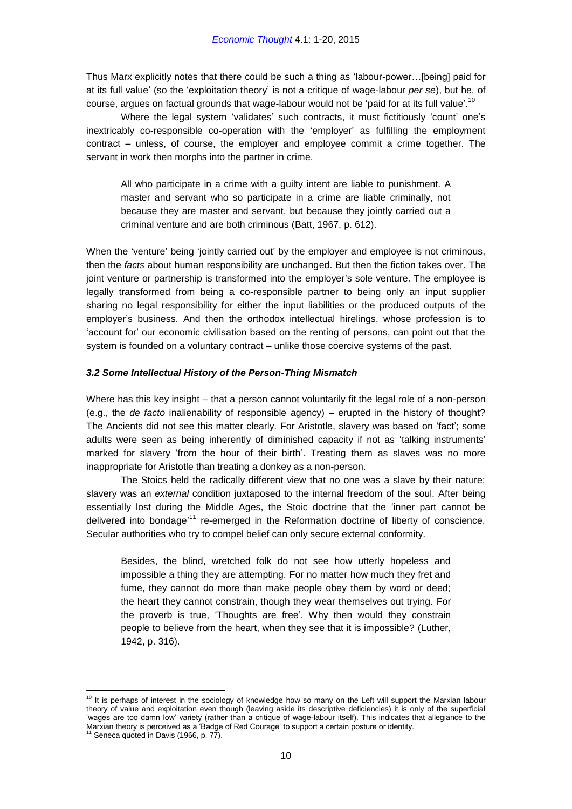Thus Marx explicitly notes that there could be such a thing as 'labour-power…[being] paid for at its full value' (so the 'exploitation theory' is not a critique of wage-labour *per se*), but he, of course, argues on factual grounds that wage-labour would not be 'paid for at its full value'.<sup>10</sup>

Where the legal system 'validates' such contracts, it must fictitiously 'count' one's inextricably co-responsible co-operation with the 'employer' as fulfilling the employment contract – unless, of course, the employer and employee commit a crime together. The servant in work then morphs into the partner in crime.

All who participate in a crime with a guilty intent are liable to punishment. A master and servant who so participate in a crime are liable criminally, not because they are master and servant, but because they jointly carried out a criminal venture and are both criminous (Batt, 1967, p. 612).

When the 'venture' being 'jointly carried out' by the employer and employee is not criminous, then the *facts* about human responsibility are unchanged. But then the fiction takes over. The joint venture or partnership is transformed into the employer's sole venture. The employee is legally transformed from being a co-responsible partner to being only an input supplier sharing no legal responsibility for either the input liabilities or the produced outputs of the employer's business. And then the orthodox intellectual hirelings, whose profession is to 'account for' our economic civilisation based on the renting of persons, can point out that the system is founded on a voluntary contract – unlike those coercive systems of the past.

#### *3.2 Some Intellectual History of the Person-Thing Mismatch*

Where has this key insight – that a person cannot voluntarily fit the legal role of a non-person (e.g., the *de facto* inalienability of responsible agency) – erupted in the history of thought? The Ancients did not see this matter clearly. For Aristotle, slavery was based on 'fact'; some adults were seen as being inherently of diminished capacity if not as 'talking instruments' marked for slavery 'from the hour of their birth'. Treating them as slaves was no more inappropriate for Aristotle than treating a donkey as a non-person.

The Stoics held the radically different view that no one was a slave by their nature; slavery was an *external* condition juxtaposed to the internal freedom of the soul. After being essentially lost during the Middle Ages, the Stoic doctrine that the 'inner part cannot be delivered into bondage<sup>,11</sup> re-emerged in the Reformation doctrine of liberty of conscience. Secular authorities who try to compel belief can only secure external conformity.

Besides, the blind, wretched folk do not see how utterly hopeless and impossible a thing they are attempting. For no matter how much they fret and fume, they cannot do more than make people obey them by word or deed; the heart they cannot constrain, though they wear themselves out trying. For the proverb is true, 'Thoughts are free'. Why then would they constrain people to believe from the heart, when they see that it is impossible? (Luther, 1942, p. 316).

 $\overline{a}$ 

 $10$  It is perhaps of interest in the sociology of knowledge how so many on the Left will support the Marxian labour theory of value and exploitation even though (leaving aside its descriptive deficiencies) it is only of the superficial 'wages are too damn low' variety (rather than a critique of wage-labour itself). This indicates that allegiance to the Marxian theory is perceived as a 'Badge of Red Courage' to support a certain posture or identity. <sup>11</sup> Seneca quoted in Davis (1966, p. 77).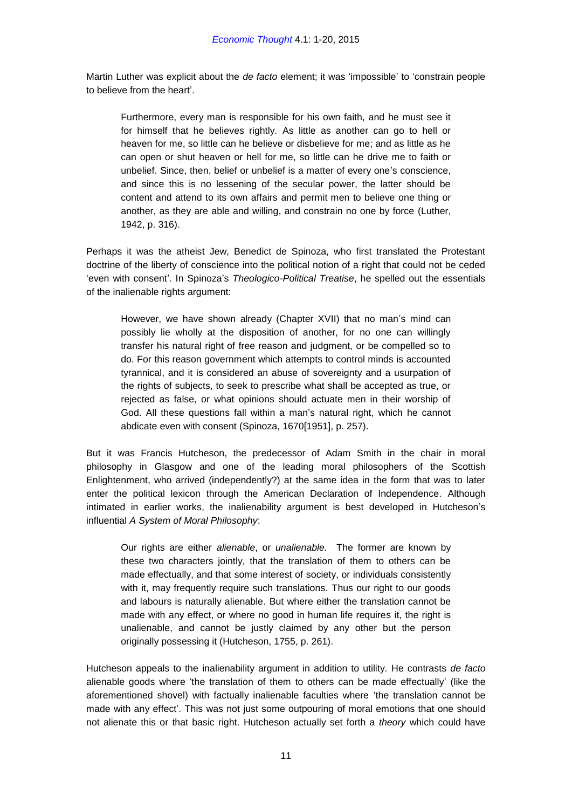Martin Luther was explicit about the *de facto* element; it was 'impossible' to 'constrain people to believe from the heart'.

Furthermore, every man is responsible for his own faith, and he must see it for himself that he believes rightly. As little as another can go to hell or heaven for me, so little can he believe or disbelieve for me; and as little as he can open or shut heaven or hell for me, so little can he drive me to faith or unbelief. Since, then, belief or unbelief is a matter of every one's conscience, and since this is no lessening of the secular power, the latter should be content and attend to its own affairs and permit men to believe one thing or another, as they are able and willing, and constrain no one by force (Luther, 1942, p. 316).

Perhaps it was the atheist Jew, Benedict de Spinoza, who first translated the Protestant doctrine of the liberty of conscience into the political notion of a right that could not be ceded 'even with consent'. In Spinoza's *Theologico-Political Treatise*, he spelled out the essentials of the inalienable rights argument:

However, we have shown already (Chapter XVII) that no man's mind can possibly lie wholly at the disposition of another, for no one can willingly transfer his natural right of free reason and judgment, or be compelled so to do. For this reason government which attempts to control minds is accounted tyrannical, and it is considered an abuse of sovereignty and a usurpation of the rights of subjects, to seek to prescribe what shall be accepted as true, or rejected as false, or what opinions should actuate men in their worship of God. All these questions fall within a man's natural right, which he cannot abdicate even with consent (Spinoza, 1670[1951], p. 257).

But it was Francis Hutcheson, the predecessor of Adam Smith in the chair in moral philosophy in Glasgow and one of the leading moral philosophers of the Scottish Enlightenment, who arrived (independently?) at the same idea in the form that was to later enter the political lexicon through the American Declaration of Independence. Although intimated in earlier works, the inalienability argument is best developed in Hutcheson's influential *A System of Moral Philosophy*:

Our rights are either *alienable*, or *unalienable.* The former are known by these two characters jointly, that the translation of them to others can be made effectually, and that some interest of society, or individuals consistently with it, may frequently require such translations. Thus our right to our goods and labours is naturally alienable. But where either the translation cannot be made with any effect, or where no good in human life requires it, the right is unalienable, and cannot be justly claimed by any other but the person originally possessing it (Hutcheson, 1755, p. 261).

Hutcheson appeals to the inalienability argument in addition to utility. He contrasts *de facto* alienable goods where 'the translation of them to others can be made effectually' (like the aforementioned shovel) with factually inalienable faculties where 'the translation cannot be made with any effect'. This was not just some outpouring of moral emotions that one should not alienate this or that basic right. Hutcheson actually set forth a *theory* which could have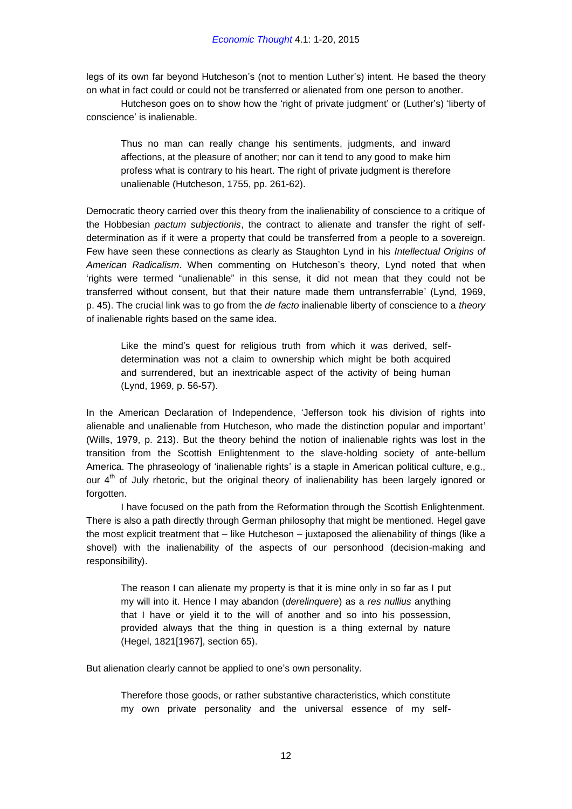legs of its own far beyond Hutcheson's (not to mention Luther's) intent. He based the theory on what in fact could or could not be transferred or alienated from one person to another.

Hutcheson goes on to show how the 'right of private judgment' or (Luther's) 'liberty of conscience' is inalienable.

Thus no man can really change his sentiments, judgments, and inward affections, at the pleasure of another; nor can it tend to any good to make him profess what is contrary to his heart. The right of private judgment is therefore unalienable (Hutcheson, 1755, pp. 261-62).

Democratic theory carried over this theory from the inalienability of conscience to a critique of the Hobbesian *pactum subjectionis*, the contract to alienate and transfer the right of selfdetermination as if it were a property that could be transferred from a people to a sovereign. Few have seen these connections as clearly as Staughton Lynd in his *Intellectual Origins of American Radicalism*. When commenting on Hutcheson's theory, Lynd noted that when 'rights were termed "unalienable" in this sense, it did not mean that they could not be transferred without consent, but that their nature made them untransferrable' (Lynd, 1969, p. 45). The crucial link was to go from the *de facto* inalienable liberty of conscience to a *theory* of inalienable rights based on the same idea.

Like the mind's quest for religious truth from which it was derived, selfdetermination was not a claim to ownership which might be both acquired and surrendered, but an inextricable aspect of the activity of being human (Lynd, 1969, p. 56-57).

In the American Declaration of Independence, 'Jefferson took his division of rights into alienable and unalienable from Hutcheson, who made the distinction popular and important' (Wills, 1979, p. 213). But the theory behind the notion of inalienable rights was lost in the transition from the Scottish Enlightenment to the slave-holding society of ante-bellum America. The phraseology of 'inalienable rights' is a staple in American political culture, e.g., our 4<sup>th</sup> of July rhetoric, but the original theory of inalienability has been largely ignored or forgotten.

I have focused on the path from the Reformation through the Scottish Enlightenment. There is also a path directly through German philosophy that might be mentioned. Hegel gave the most explicit treatment that – like Hutcheson – juxtaposed the alienability of things (like a shovel) with the inalienability of the aspects of our personhood (decision-making and responsibility).

The reason I can alienate my property is that it is mine only in so far as I put my will into it. Hence I may abandon (*derelinquere*) as a *res nullius* anything that I have or yield it to the will of another and so into his possession, provided always that the thing in question is a thing external by nature (Hegel, 1821[1967], section 65).

But alienation clearly cannot be applied to one's own personality.

Therefore those goods, or rather substantive characteristics, which constitute my own private personality and the universal essence of my self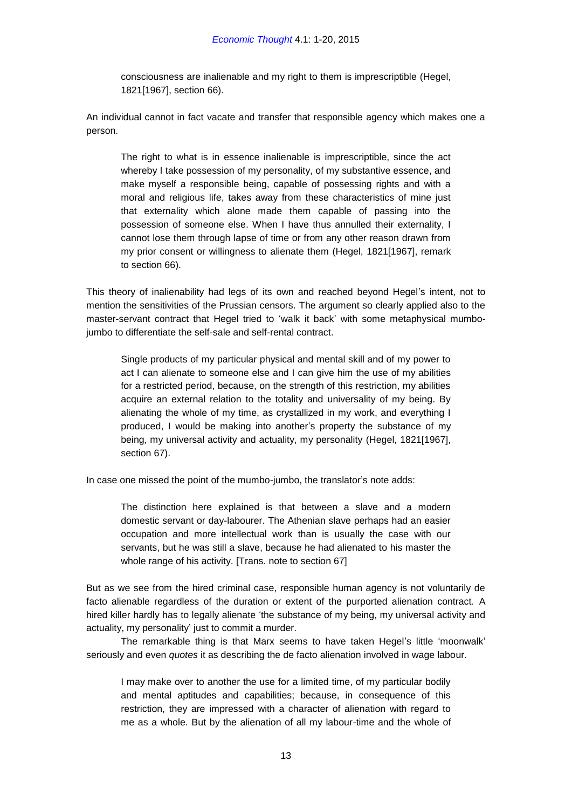consciousness are inalienable and my right to them is imprescriptible (Hegel, 1821[1967], section 66).

An individual cannot in fact vacate and transfer that responsible agency which makes one a person.

The right to what is in essence inalienable is imprescriptible, since the act whereby I take possession of my personality, of my substantive essence, and make myself a responsible being, capable of possessing rights and with a moral and religious life, takes away from these characteristics of mine just that externality which alone made them capable of passing into the possession of someone else. When I have thus annulled their externality, I cannot lose them through lapse of time or from any other reason drawn from my prior consent or willingness to alienate them (Hegel, 1821[1967], remark to section 66).

This theory of inalienability had legs of its own and reached beyond Hegel's intent, not to mention the sensitivities of the Prussian censors. The argument so clearly applied also to the master-servant contract that Hegel tried to 'walk it back' with some metaphysical mumbojumbo to differentiate the self-sale and self-rental contract.

Single products of my particular physical and mental skill and of my power to act I can alienate to someone else and I can give him the use of my abilities for a restricted period, because, on the strength of this restriction, my abilities acquire an external relation to the totality and universality of my being. By alienating the whole of my time, as crystallized in my work, and everything I produced, I would be making into another's property the substance of my being, my universal activity and actuality, my personality (Hegel, 1821[1967], section 67).

In case one missed the point of the mumbo-jumbo, the translator's note adds:

The distinction here explained is that between a slave and a modern domestic servant or day-labourer. The Athenian slave perhaps had an easier occupation and more intellectual work than is usually the case with our servants, but he was still a slave, because he had alienated to his master the whole range of his activity. [Trans. note to section 67]

But as we see from the hired criminal case, responsible human agency is not voluntarily de facto alienable regardless of the duration or extent of the purported alienation contract. A hired killer hardly has to legally alienate 'the substance of my being, my universal activity and actuality, my personality' just to commit a murder.

The remarkable thing is that Marx seems to have taken Hegel's little 'moonwalk' seriously and even *quotes* it as describing the de facto alienation involved in wage labour.

I may make over to another the use for a limited time, of my particular bodily and mental aptitudes and capabilities; because, in consequence of this restriction, they are impressed with a character of alienation with regard to me as a whole. But by the alienation of all my labour-time and the whole of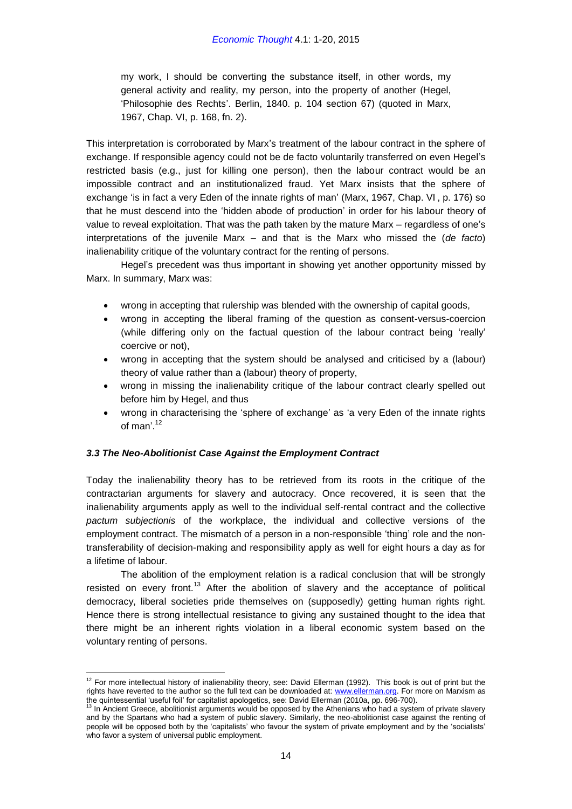my work, I should be converting the substance itself, in other words, my general activity and reality, my person, into the property of another (Hegel, 'Philosophie des Rechts'. Berlin, 1840. p. 104 section 67) (quoted in Marx, 1967, Chap. VI, p. 168, fn. 2).

This interpretation is corroborated by Marx's treatment of the labour contract in the sphere of exchange. If responsible agency could not be de facto voluntarily transferred on even Hegel's restricted basis (e.g., just for killing one person), then the labour contract would be an impossible contract and an institutionalized fraud. Yet Marx insists that the sphere of exchange 'is in fact a very Eden of the innate rights of man' (Marx, 1967, Chap. VI, p. 176) so that he must descend into the 'hidden abode of production' in order for his labour theory of value to reveal exploitation. That was the path taken by the mature Marx – regardless of one's interpretations of the juvenile Marx – and that is the Marx who missed the (*de facto*) inalienability critique of the voluntary contract for the renting of persons.

Hegel's precedent was thus important in showing yet another opportunity missed by Marx. In summary, Marx was:

- wrong in accepting that rulership was blended with the ownership of capital goods,
- wrong in accepting the liberal framing of the question as consent-versus-coercion (while differing only on the factual question of the labour contract being 'really' coercive or not),
- wrong in accepting that the system should be analysed and criticised by a (labour) theory of value rather than a (labour) theory of property,
- wrong in missing the inalienability critique of the labour contract clearly spelled out before him by Hegel, and thus
- wrong in characterising the 'sphere of exchange' as 'a very Eden of the innate rights of man'.<sup>12</sup>

# *3.3 The Neo-Abolitionist Case Against the Employment Contract*

 $\overline{a}$ 

Today the inalienability theory has to be retrieved from its roots in the critique of the contractarian arguments for slavery and autocracy. Once recovered, it is seen that the inalienability arguments apply as well to the individual self-rental contract and the collective *pactum subjectionis* of the workplace, the individual and collective versions of the employment contract. The mismatch of a person in a non-responsible 'thing' role and the nontransferability of decision-making and responsibility apply as well for eight hours a day as for a lifetime of labour.

The abolition of the employment relation is a radical conclusion that will be strongly resisted on every front.<sup>13</sup> After the abolition of slavery and the acceptance of political democracy, liberal societies pride themselves on (supposedly) getting human rights right. Hence there is strong intellectual resistance to giving any sustained thought to the idea that there might be an inherent rights violation in a liberal economic system based on the voluntary renting of persons.

 $12$  For more intellectual history of inalienability theory, see: David Ellerman (1992). This book is out of print but the rights have reverted to the author so the full text can be downloaded at[: www.ellerman.org.](http://www.ellerman.org/) For more on Marxism as the quintessential 'useful foil' for capitalist apologetics, see: David Ellerman (2010a, pp. 696-700).

In Ancient Greece, abolitionist arguments would be opposed by the Athenians who had a system of private slavery and by the Spartans who had a system of public slavery. Similarly, the neo-abolitionist case against the renting of people will be opposed both by the 'capitalists' who favour the system of private employment and by the 'socialists' who favor a system of universal public employment.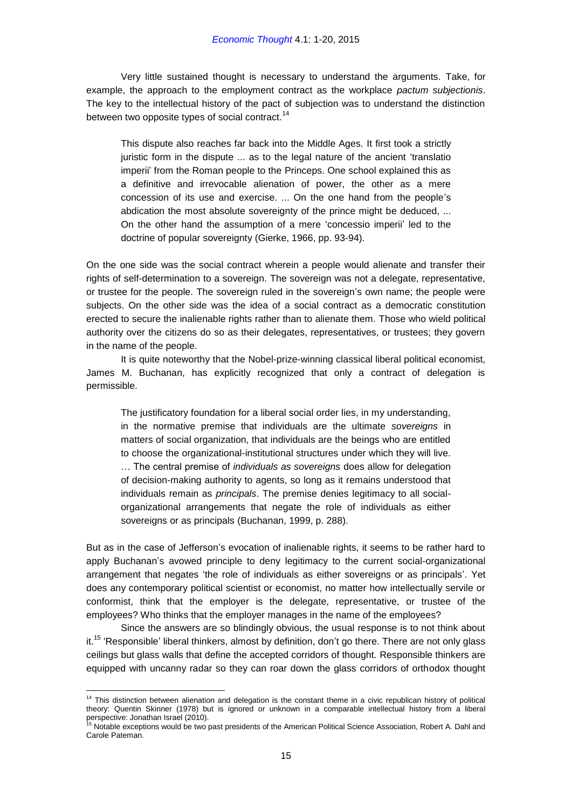Very little sustained thought is necessary to understand the arguments. Take, for example, the approach to the employment contract as the workplace *pactum subjectionis*. The key to the intellectual history of the pact of subjection was to understand the distinction between two opposite types of social contract.<sup>14</sup>

This dispute also reaches far back into the Middle Ages. It first took a strictly juristic form in the dispute ... as to the legal nature of the ancient 'translatio imperii' from the Roman people to the Princeps. One school explained this as a definitive and irrevocable alienation of power, the other as a mere concession of its use and exercise. ... On the one hand from the people's abdication the most absolute sovereignty of the prince might be deduced, ... On the other hand the assumption of a mere 'concessio imperii' led to the doctrine of popular sovereignty (Gierke, 1966, pp. 93-94).

On the one side was the social contract wherein a people would alienate and transfer their rights of self-determination to a sovereign. The sovereign was not a delegate, representative, or trustee for the people. The sovereign ruled in the sovereign's own name; the people were subjects. On the other side was the idea of a social contract as a democratic constitution erected to secure the inalienable rights rather than to alienate them. Those who wield political authority over the citizens do so as their delegates, representatives, or trustees; they govern in the name of the people.

It is quite noteworthy that the Nobel-prize-winning classical liberal political economist, James M. Buchanan, has explicitly recognized that only a contract of delegation is permissible.

The justificatory foundation for a liberal social order lies, in my understanding, in the normative premise that individuals are the ultimate *sovereigns* in matters of social organization, that individuals are the beings who are entitled to choose the organizational-institutional structures under which they will live. … The central premise of *individuals as sovereigns* does allow for delegation of decision-making authority to agents, so long as it remains understood that individuals remain as *principals*. The premise denies legitimacy to all socialorganizational arrangements that negate the role of individuals as either sovereigns or as principals (Buchanan, 1999, p. 288).

But as in the case of Jefferson's evocation of inalienable rights, it seems to be rather hard to apply Buchanan's avowed principle to deny legitimacy to the current social-organizational arrangement that negates 'the role of individuals as either sovereigns or as principals'. Yet does any contemporary political scientist or economist, no matter how intellectually servile or conformist, think that the employer is the delegate, representative, or trustee of the employees? Who thinks that the employer manages in the name of the employees?

Since the answers are so blindingly obvious, the usual response is to not think about it.<sup>15</sup> 'Responsible' liberal thinkers, almost by definition, don't go there. There are not only glass ceilings but glass walls that define the accepted corridors of thought. Responsible thinkers are equipped with uncanny radar so they can roar down the glass corridors of orthodox thought

 $\overline{a}$ 

<sup>&</sup>lt;sup>14</sup> This distinction between alienation and delegation is the constant theme in a civic republican history of political theory: Quentin Skinner (1978) but is ignored or unknown in a comparable intellectual history from a liberal perspective: Jonathan Israel (2010).<br><sup>15</sup> Notable exceptions would be two past presidents of the American Political Science Association, Robert A. Dahl and

Carole Pateman.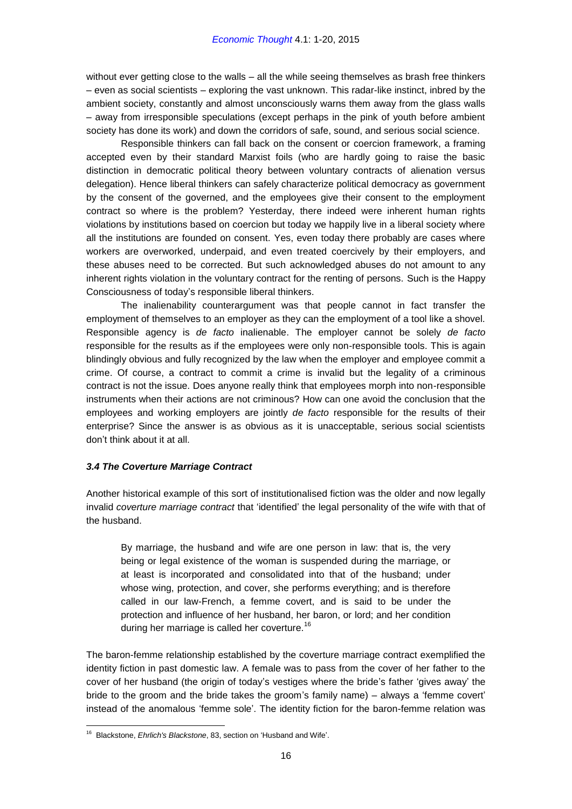without ever getting close to the walls – all the while seeing themselves as brash free thinkers – even as social scientists – exploring the vast unknown. This radar-like instinct, inbred by the ambient society, constantly and almost unconsciously warns them away from the glass walls – away from irresponsible speculations (except perhaps in the pink of youth before ambient society has done its work) and down the corridors of safe, sound, and serious social science.

Responsible thinkers can fall back on the consent or coercion framework, a framing accepted even by their standard Marxist foils (who are hardly going to raise the basic distinction in democratic political theory between voluntary contracts of alienation versus delegation). Hence liberal thinkers can safely characterize political democracy as government by the consent of the governed, and the employees give their consent to the employment contract so where is the problem? Yesterday, there indeed were inherent human rights violations by institutions based on coercion but today we happily live in a liberal society where all the institutions are founded on consent. Yes, even today there probably are cases where workers are overworked, underpaid, and even treated coercively by their employers, and these abuses need to be corrected. But such acknowledged abuses do not amount to any inherent rights violation in the voluntary contract for the renting of persons. Such is the Happy Consciousness of today's responsible liberal thinkers.

The inalienability counterargument was that people cannot in fact transfer the employment of themselves to an employer as they can the employment of a tool like a shovel. Responsible agency is *de facto* inalienable. The employer cannot be solely *de facto* responsible for the results as if the employees were only non-responsible tools. This is again blindingly obvious and fully recognized by the law when the employer and employee commit a crime. Of course, a contract to commit a crime is invalid but the legality of a criminous contract is not the issue. Does anyone really think that employees morph into non-responsible instruments when their actions are not criminous? How can one avoid the conclusion that the employees and working employers are jointly *de facto* responsible for the results of their enterprise? Since the answer is as obvious as it is unacceptable, serious social scientists don't think about it at all.

#### *3.4 The Coverture Marriage Contract*

Another historical example of this sort of institutionalised fiction was the older and now legally invalid *coverture marriage contract* that 'identified' the legal personality of the wife with that of the husband.

By marriage, the husband and wife are one person in law: that is, the very being or legal existence of the woman is suspended during the marriage, or at least is incorporated and consolidated into that of the husband; under whose wing, protection, and cover, she performs everything; and is therefore called in our law-French, a femme covert, and is said to be under the protection and influence of her husband, her baron, or lord; and her condition during her marriage is called her coverture.<sup>16</sup>

The baron-femme relationship established by the coverture marriage contract exemplified the identity fiction in past domestic law. A female was to pass from the cover of her father to the cover of her husband (the origin of today's vestiges where the bride's father 'gives away' the bride to the groom and the bride takes the groom's family name) – always a 'femme covert' instead of the anomalous 'femme sole'. The identity fiction for the baron-femme relation was

 16 Blackstone, *Ehrlich's Blackstone*, 83, section on 'Husband and Wife'.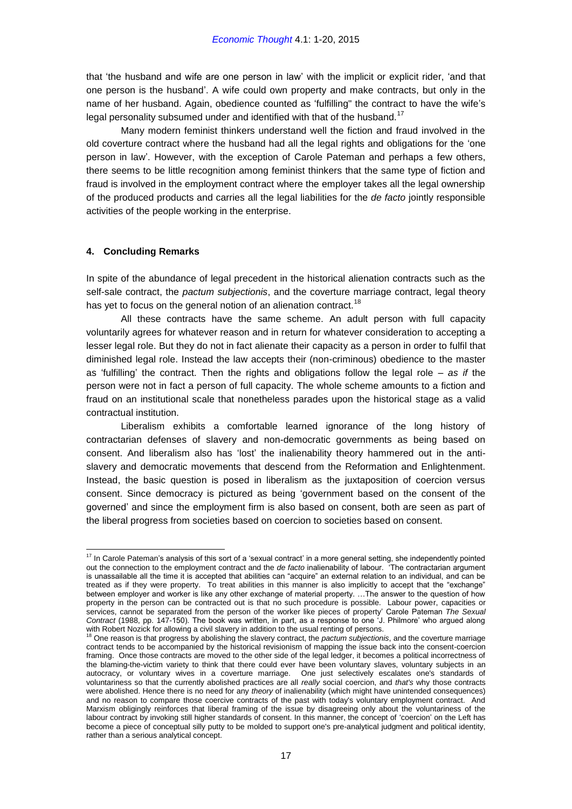that 'the husband and wife are one person in law' with the implicit or explicit rider, 'and that one person is the husband'. A wife could own property and make contracts, but only in the name of her husband. Again, obedience counted as 'fulfilling" the contract to have the wife's legal personality subsumed under and identified with that of the husband.<sup>17</sup>

Many modern feminist thinkers understand well the fiction and fraud involved in the old coverture contract where the husband had all the legal rights and obligations for the 'one person in law'. However, with the exception of Carole Pateman and perhaps a few others, there seems to be little recognition among feminist thinkers that the same type of fiction and fraud is involved in the employment contract where the employer takes all the legal ownership of the produced products and carries all the legal liabilities for the *de facto* jointly responsible activities of the people working in the enterprise.

#### **4. Concluding Remarks**

In spite of the abundance of legal precedent in the historical alienation contracts such as the self-sale contract, the *pactum subjectionis*, and the coverture marriage contract, legal theory has yet to focus on the general notion of an alienation contract.<sup>18</sup>

All these contracts have the same scheme. An adult person with full capacity voluntarily agrees for whatever reason and in return for whatever consideration to accepting a lesser legal role. But they do not in fact alienate their capacity as a person in order to fulfil that diminished legal role. Instead the law accepts their (non-criminous) obedience to the master as 'fulfilling' the contract. Then the rights and obligations follow the legal role – *as if* the person were not in fact a person of full capacity. The whole scheme amounts to a fiction and fraud on an institutional scale that nonetheless parades upon the historical stage as a valid contractual institution.

Liberalism exhibits a comfortable learned ignorance of the long history of contractarian defenses of slavery and non-democratic governments as being based on consent. And liberalism also has 'lost' the inalienability theory hammered out in the antislavery and democratic movements that descend from the Reformation and Enlightenment. Instead, the basic question is posed in liberalism as the juxtaposition of coercion versus consent. Since democracy is pictured as being 'government based on the consent of the governed' and since the employment firm is also based on consent, both are seen as part of the liberal progress from societies based on coercion to societies based on consent.

l  $17$  In Carole Pateman's analysis of this sort of a 'sexual contract' in a more general setting, she independently pointed out the connection to the employment contract and the *de facto* inalienability of labour. 'The contractarian argument is unassailable all the time it is accepted that abilities can "acquire" an external relation to an individual, and can be treated as if they were property. To treat abilities in this manner is also implicitly to accept that the "exchange" between employer and worker is like any other exchange of material property. …The answer to the question of how property in the person can be contracted out is that no such procedure is possible. Labour power, capacities or services, cannot be separated from the person of the worker like pieces of property' Carole Pateman *The Sexual Contract* (1988, pp. 147-150). The book was written, in part, as a response to one 'J. Philmore' who argued along with Robert Nozick for allowing a civil slavery in addition to the usual renting of persons.<br>With Robert Nozick for allowing a civil slavery in addition to the usual renting of persons.

<sup>18</sup> One reason is that progress by abolishing the slavery contract, the *pactum subjectionis*, and the coverture marriage contract tends to be accompanied by the historical revisionism of mapping the issue back into the consent-coercion framing. Once those contracts are moved to the other side of the legal ledger, it becomes a political incorrectness of the blaming-the-victim variety to think that there could ever have been voluntary slaves, voluntary subjects in an autocracy, or voluntary wives in a coverture marriage. One just selectively escalates one's standards of voluntariness so that the currently abolished practices are all *really* social coercion, and *that's* why those contracts were abolished. Hence there is no need for any *theory* of inalienability (which might have unintended consequences) and no reason to compare those coercive contracts of the past with today's voluntary employment contract. And Marxism obligingly reinforces that liberal framing of the issue by disagreeing only about the voluntariness of the labour contract by invoking still higher standards of consent. In this manner, the concept of 'coercion' on the Left has become a piece of conceptual silly putty to be molded to support one's pre-analytical judgment and political identity, rather than a serious analytical concept.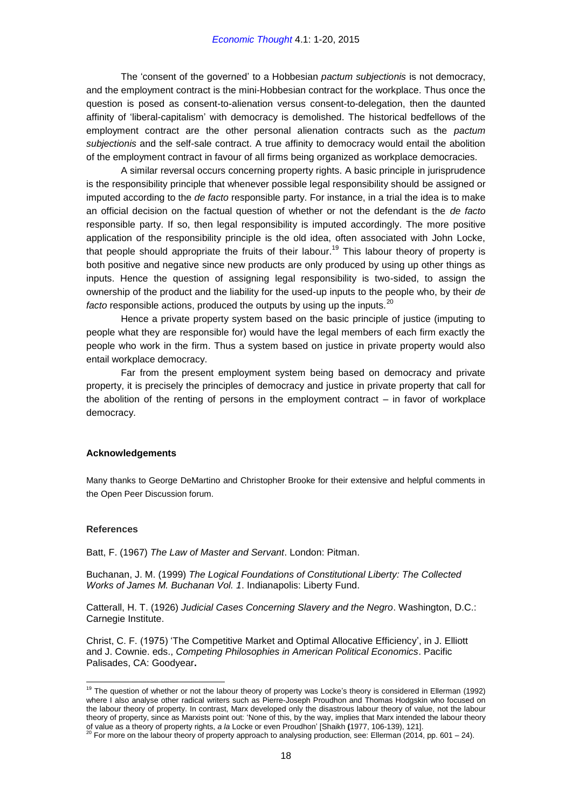The 'consent of the governed' to a Hobbesian *pactum subjectionis* is not democracy, and the employment contract is the mini-Hobbesian contract for the workplace. Thus once the question is posed as consent-to-alienation versus consent-to-delegation, then the daunted affinity of 'liberal-capitalism' with democracy is demolished. The historical bedfellows of the employment contract are the other personal alienation contracts such as the *pactum subjectionis* and the self-sale contract. A true affinity to democracy would entail the abolition of the employment contract in favour of all firms being organized as workplace democracies.

A similar reversal occurs concerning property rights. A basic principle in jurisprudence is the responsibility principle that whenever possible legal responsibility should be assigned or imputed according to the *de facto* responsible party. For instance, in a trial the idea is to make an official decision on the factual question of whether or not the defendant is the *de facto* responsible party. If so, then legal responsibility is imputed accordingly. The more positive application of the responsibility principle is the old idea, often associated with John Locke, that people should appropriate the fruits of their labour.<sup>19</sup> This labour theory of property is both positive and negative since new products are only produced by using up other things as inputs. Hence the question of assigning legal responsibility is two-sided, to assign the ownership of the product and the liability for the used-up inputs to the people who, by their *de facto* responsible actions, produced the outputs by using up the inputs.<sup>20</sup>

Hence a private property system based on the basic principle of justice (imputing to people what they are responsible for) would have the legal members of each firm exactly the people who work in the firm. Thus a system based on justice in private property would also entail workplace democracy.

Far from the present employment system being based on democracy and private property, it is precisely the principles of democracy and justice in private property that call for the abolition of the renting of persons in the employment contract – in favor of workplace democracy.

#### **Acknowledgements**

Many thanks to George DeMartino and Christopher Brooke for their extensive and helpful comments in the Open Peer Discussion forum.

#### **References**

l

Batt, F. (1967) *The Law of Master and Servant*. London: Pitman.

Buchanan, J. M. (1999) *The Logical Foundations of Constitutional Liberty: The Collected Works of James M. Buchanan Vol. 1*. Indianapolis: Liberty Fund.

Catterall, H. T. (1926) *Judicial Cases Concerning Slavery and the Negro*. Washington, D.C.: Carnegie Institute.

Christ, C. F. (1975) 'The Competitive Market and Optimal Allocative Efficiency', in J. Elliott and J. Cownie. eds., *Competing Philosophies in American Political Economics*. Pacific Palisades, CA: Goodyear**.**

<sup>&</sup>lt;sup>19</sup> The question of whether or not the labour theory of property was Locke's theory is considered in Ellerman (1992) where I also analyse other radical writers such as Pierre-Joseph Proudhon and Thomas Hodgskin who focused on the labour theory of property. In contrast, Marx developed only the disastrous labour theory of value, not the labour theory of property, since as Marxists point out: 'None of this, by the way, implies that Marx intended the labour theory

of value as a theory of property rights, *a la* Locke or even Proudhon' [Shaikh **(**1977, 106-139), 121].<br><sup>20</sup> For more on the labour theory of property approach to analysing production, see: Ellerman (2014, pp. 601 – 24).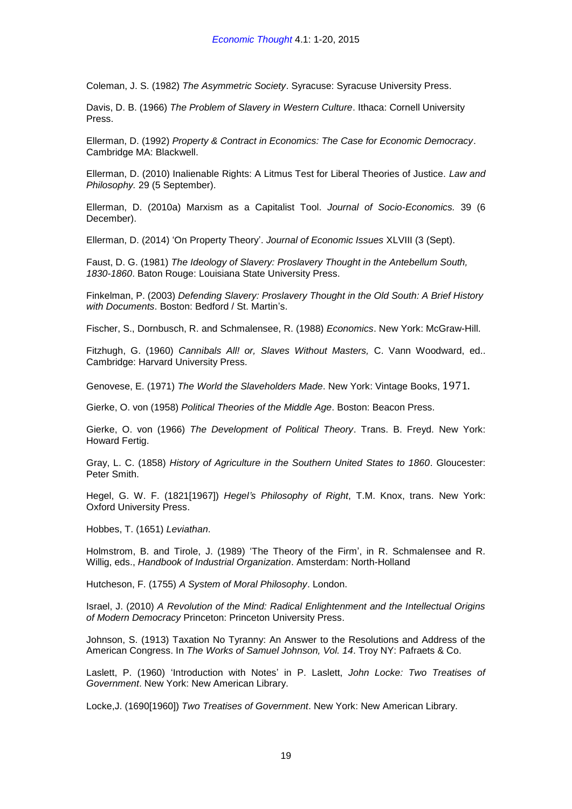Coleman, J. S. (1982) *The Asymmetric Society*. Syracuse: Syracuse University Press.

Davis, D. B. (1966) *The Problem of Slavery in Western Culture*. Ithaca: Cornell University Press.

Ellerman, D. (1992) *Property & Contract in Economics: The Case for Economic Democracy*. Cambridge MA: Blackwell.

Ellerman, D. (2010) Inalienable Rights: A Litmus Test for Liberal Theories of Justice. *Law and Philosophy.* 29 (5 September).

Ellerman, D. (2010a) Marxism as a Capitalist Tool. *Journal of Socio-Economics.* 39 (6 December).

Ellerman, D. (2014) 'On Property Theory'. *Journal of Economic Issues* XLVIII (3 (Sept).

Faust, D. G. (1981) *The Ideology of Slavery: Proslavery Thought in the Antebellum South, 1830-1860*. Baton Rouge: Louisiana State University Press.

Finkelman, P. (2003) *Defending Slavery: Proslavery Thought in the Old South: A Brief History with Documents*. Boston: Bedford / St. Martin's.

Fischer, S., Dornbusch, R. and Schmalensee, R. (1988) *Economics*. New York: McGraw-Hill.

Fitzhugh, G. (1960) *Cannibals All! or, Slaves Without Masters,* C. Vann Woodward, ed.. Cambridge: Harvard University Press.

Genovese, E. (1971) *The World the Slaveholders Made*. New York: Vintage Books, 1971.

Gierke, O. von (1958) *Political Theories of the Middle Age*. Boston: Beacon Press.

Gierke, O. von (1966) *The Development of Political Theory*. Trans. B. Freyd. New York: Howard Fertig.

Gray, L. C. (1858) *History of Agriculture in the Southern United States to 1860*. Gloucester: Peter Smith.

Hegel, G. W. F. (1821[1967]) *Hegel's Philosophy of Right*, T.M. Knox, trans. New York: Oxford University Press.

Hobbes, T. (1651) *Leviathan*.

Holmstrom, B. and Tirole, J. (1989) 'The Theory of the Firm', in R. Schmalensee and R. Willig, eds., *Handbook of Industrial Organization*. Amsterdam: North-Holland

Hutcheson, F. (1755) *A System of Moral Philosophy*. London.

Israel, J. (2010) *A Revolution of the Mind: Radical Enlightenment and the Intellectual Origins of Modern Democracy* Princeton: Princeton University Press.

Johnson, S. (1913) Taxation No Tyranny: An Answer to the Resolutions and Address of the American Congress. In *The Works of Samuel Johnson, Vol. 14*. Troy NY: Pafraets & Co.

Laslett, P. (1960) 'Introduction with Notes' in P. Laslett, *John Locke: Two Treatises of Government*. New York: New American Library.

Locke,J. (1690[1960]) *Two Treatises of Government*. New York: New American Library.